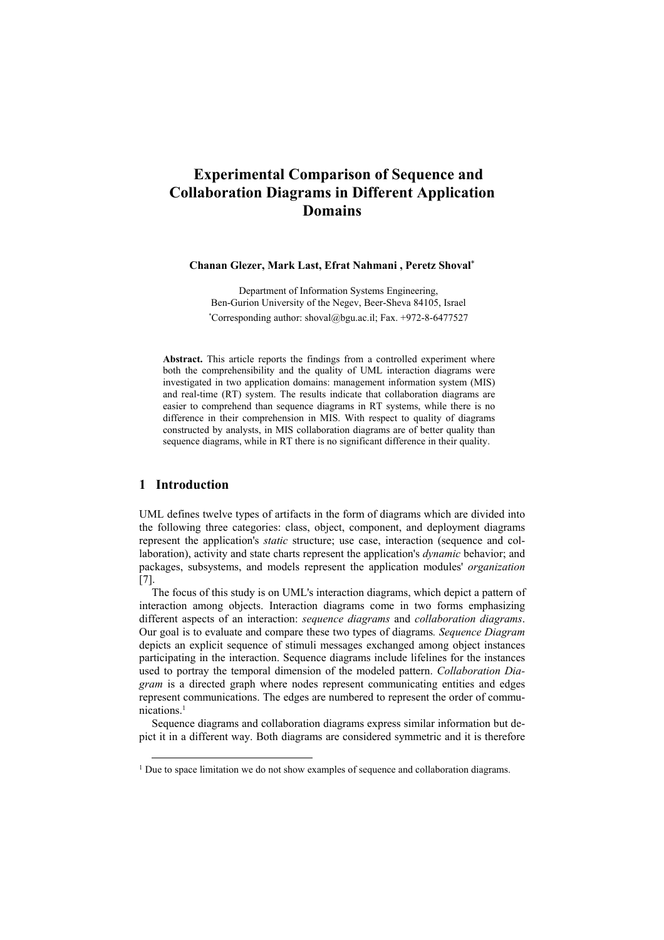# **Experimental Comparison of Sequence and Collaboration Diagrams in Different Application Domains**

#### **Chanan Glezer, Mark Last, Efrat Nahmani , Peretz Shoval**\*

Department of Information Systems Engineering, Ben-Gurion University of the Negev, Beer-Sheva 84105, Israel \* Corresponding author: shoval@bgu.ac.il; Fax. +972-8-6477527

**Abstract.** This article reports the findings from a controlled experiment where both the comprehensibility and the quality of UML interaction diagrams were investigated in two application domains: management information system (MIS) and real-time (RT) system. The results indicate that collaboration diagrams are easier to comprehend than sequence diagrams in RT systems, while there is no difference in their comprehension in MIS. With respect to quality of diagrams constructed by analysts, in MIS collaboration diagrams are of better quality than sequence diagrams, while in RT there is no significant difference in their quality.

# **1 Introduction**

UML defines twelve types of artifacts in the form of diagrams which are divided into the following three categories: class, object, component, and deployment diagrams represent the application's *static* structure; use case, interaction (sequence and collaboration), activity and state charts represent the application's *dynamic* behavior; and packages, subsystems, and models represent the application modules' *organization* [7].

The focus of this study is on UML's interaction diagrams, which depict a pattern of interaction among objects. Interaction diagrams come in two forms emphasizing different aspects of an interaction: *sequence diagrams* and *collaboration diagrams*. Our goal is to evaluate and compare these two types of diagrams*. Sequence Diagram* depicts an explicit sequence of stimuli messages exchanged among object instances participating in the interaction. Sequence diagrams include lifelines for the instances used to portray the temporal dimension of the modeled pattern. *Collaboration Diagram* is a directed graph where nodes represent communicating entities and edges represent communications. The edges are numbered to represent the order of communications.1

Sequence diagrams and collaboration diagrams express similar information but depict it in a different way. Both diagrams are considered symmetric and it is therefore

<sup>&</sup>lt;sup>1</sup> Due to space limitation we do not show examples of sequence and collaboration diagrams.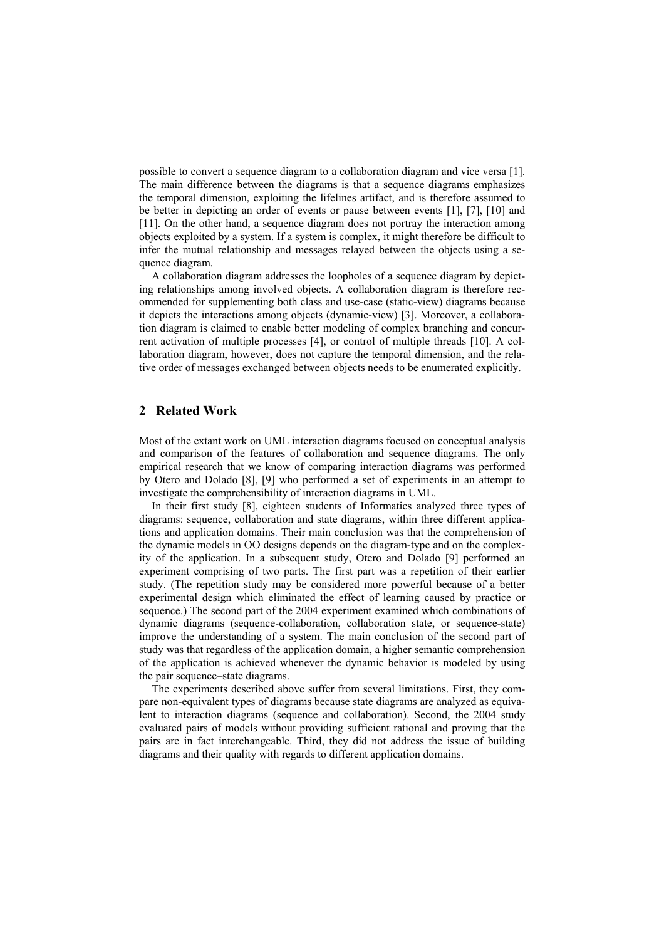possible to convert a sequence diagram to a collaboration diagram and vice versa [1]. The main difference between the diagrams is that a sequence diagrams emphasizes the temporal dimension, exploiting the lifelines artifact, and is therefore assumed to be better in depicting an order of events or pause between events [1], [7], [10] and [11]. On the other hand, a sequence diagram does not portray the interaction among objects exploited by a system. If a system is complex, it might therefore be difficult to infer the mutual relationship and messages relayed between the objects using a sequence diagram.

A collaboration diagram addresses the loopholes of a sequence diagram by depicting relationships among involved objects. A collaboration diagram is therefore recommended for supplementing both class and use-case (static-view) diagrams because it depicts the interactions among objects (dynamic-view) [3]. Moreover, a collaboration diagram is claimed to enable better modeling of complex branching and concurrent activation of multiple processes [4], or control of multiple threads [10]. A collaboration diagram, however, does not capture the temporal dimension, and the relative order of messages exchanged between objects needs to be enumerated explicitly.

# **2 Related Work**

Most of the extant work on UML interaction diagrams focused on conceptual analysis and comparison of the features of collaboration and sequence diagrams. The only empirical research that we know of comparing interaction diagrams was performed by Otero and Dolado [8], [9] who performed a set of experiments in an attempt to investigate the comprehensibility of interaction diagrams in UML.

In their first study [8], eighteen students of Informatics analyzed three types of diagrams: sequence, collaboration and state diagrams, within three different applications and application domains. Their main conclusion was that the comprehension of the dynamic models in OO designs depends on the diagram-type and on the complexity of the application. In a subsequent study, Otero and Dolado [9] performed an experiment comprising of two parts. The first part was a repetition of their earlier study. (The repetition study may be considered more powerful because of a better experimental design which eliminated the effect of learning caused by practice or sequence.) The second part of the 2004 experiment examined which combinations of dynamic diagrams (sequence-collaboration, collaboration state, or sequence-state) improve the understanding of a system. The main conclusion of the second part of study was that regardless of the application domain, a higher semantic comprehension of the application is achieved whenever the dynamic behavior is modeled by using the pair sequence–state diagrams.

The experiments described above suffer from several limitations. First, they compare non-equivalent types of diagrams because state diagrams are analyzed as equivalent to interaction diagrams (sequence and collaboration). Second, the 2004 study evaluated pairs of models without providing sufficient rational and proving that the pairs are in fact interchangeable. Third, they did not address the issue of building diagrams and their quality with regards to different application domains.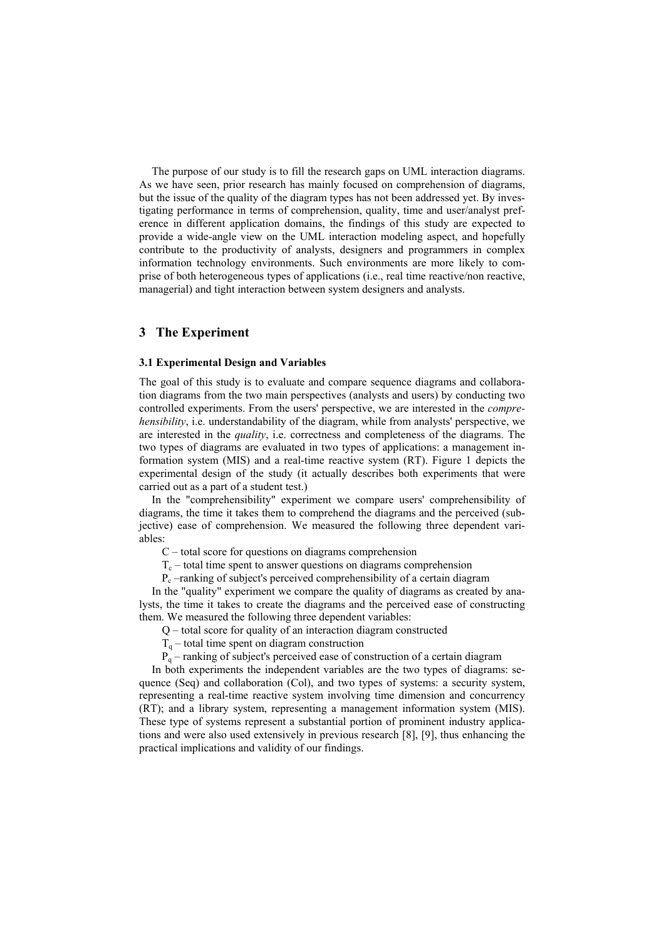The purpose of our study is to fill the research gaps on UML interaction diagrams. As we have seen, prior research has mainly focused on comprehension of diagrams, but the issue of the quality of the diagram types has not been addressed yet. By investigating performance in terms of comprehension, quality, time and user/analyst preference in different application domains, the findings of this study are expected to provide a wide-angle view on the UML interaction modeling aspect, and hopefully contribute to the productivity of analysts, designers and programmers in complex information technology environments. Such environments are more likely to comprise of both heterogeneous types of applications (i.e., real time reactive/non reactive, managerial) and tight interaction between system designers and analysts.

# **3 The Experiment**

#### **3.1 Experimental Design and Variables**

The goal of this study is to evaluate and compare sequence diagrams and collaboration diagrams from the two main perspectives (analysts and users) by conducting two controlled experiments. From the users' perspective, we are interested in the *comprehensibility*, i.e. understandability of the diagram, while from analysts' perspective, we are interested in the *quality*, i.e. correctness and completeness of the diagrams. The two types of diagrams are evaluated in two types of applications: a management information system (MIS) and a real-time reactive system (RT). Figure 1 depicts the experimental design of the study (it actually describes both experiments that were carried out as a part of a student test.)

In the "comprehensibility" experiment we compare users' comprehensibility of diagrams, the time it takes them to comprehend the diagrams and the perceived (subjective) ease of comprehension. We measured the following three dependent variables:

C – total score for questions on diagrams comprehension

 $T_c$  – total time spent to answer questions on diagrams comprehension

 $P_c$  –ranking of subject's perceived comprehensibility of a certain diagram

In the "quality" experiment we compare the quality of diagrams as created by analysts, the time it takes to create the diagrams and the perceived ease of constructing them. We measured the following three dependent variables:

Q – total score for quality of an interaction diagram constructed

 $T<sub>q</sub>$  – total time spent on diagram construction

 $P_q$  – ranking of subject's perceived ease of construction of a certain diagram

In both experiments the independent variables are the two types of diagrams: sequence (Seq) and collaboration (Col), and two types of systems: a security system, representing a real-time reactive system involving time dimension and concurrency (RT); and a library system, representing a management information system (MIS). These type of systems represent a substantial portion of prominent industry applications and were also used extensively in previous research [8], [9], thus enhancing the practical implications and validity of our findings.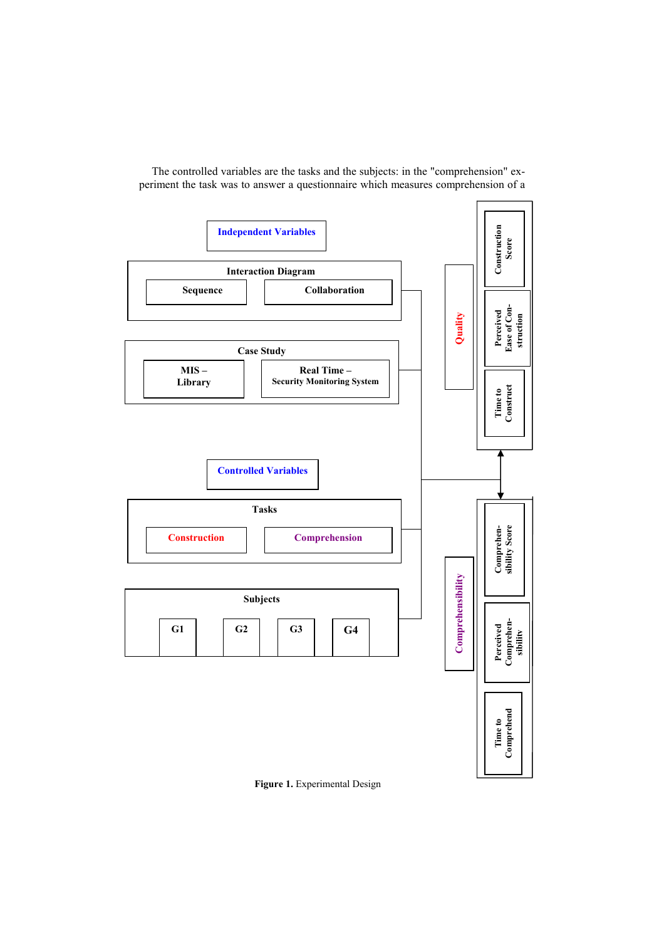

The controlled variables are the tasks and the subjects: in the "comprehension" experiment the task was to answer a questionnaire which measures comprehension of a

**Figure 1.** Experimental Design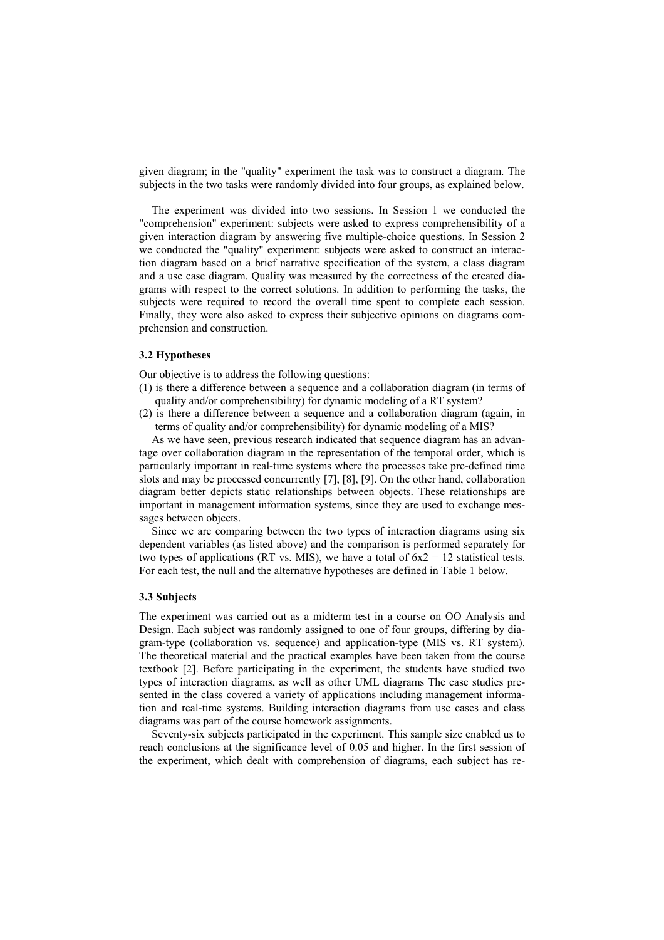given diagram; in the "quality" experiment the task was to construct a diagram. The subjects in the two tasks were randomly divided into four groups, as explained below.

The experiment was divided into two sessions. In Session 1 we conducted the "comprehension" experiment: subjects were asked to express comprehensibility of a given interaction diagram by answering five multiple-choice questions. In Session 2 we conducted the "quality" experiment: subjects were asked to construct an interaction diagram based on a brief narrative specification of the system, a class diagram and a use case diagram. Quality was measured by the correctness of the created diagrams with respect to the correct solutions. In addition to performing the tasks, the subjects were required to record the overall time spent to complete each session. Finally, they were also asked to express their subjective opinions on diagrams comprehension and construction.

# **3.2 Hypotheses**

Our objective is to address the following questions:

- (1) is there a difference between a sequence and a collaboration diagram (in terms of quality and/or comprehensibility) for dynamic modeling of a RT system?
- (2) is there a difference between a sequence and a collaboration diagram (again, in terms of quality and/or comprehensibility) for dynamic modeling of a MIS?

As we have seen, previous research indicated that sequence diagram has an advantage over collaboration diagram in the representation of the temporal order, which is particularly important in real-time systems where the processes take pre-defined time slots and may be processed concurrently [7], [8], [9]. On the other hand, collaboration diagram better depicts static relationships between objects. These relationships are important in management information systems, since they are used to exchange messages between objects.

Since we are comparing between the two types of interaction diagrams using six dependent variables (as listed above) and the comparison is performed separately for two types of applications (RT vs. MIS), we have a total of  $6x^2 = 12$  statistical tests. For each test, the null and the alternative hypotheses are defined in Table 1 below.

#### **3.3 Subjects**

The experiment was carried out as a midterm test in a course on OO Analysis and Design. Each subject was randomly assigned to one of four groups, differing by diagram-type (collaboration vs. sequence) and application-type (MIS vs. RT system). The theoretical material and the practical examples have been taken from the course textbook [2]. Before participating in the experiment, the students have studied two types of interaction diagrams, as well as other UML diagrams The case studies presented in the class covered a variety of applications including management information and real-time systems. Building interaction diagrams from use cases and class diagrams was part of the course homework assignments.

Seventy-six subjects participated in the experiment. This sample size enabled us to reach conclusions at the significance level of 0.05 and higher. In the first session of the experiment, which dealt with comprehension of diagrams, each subject has re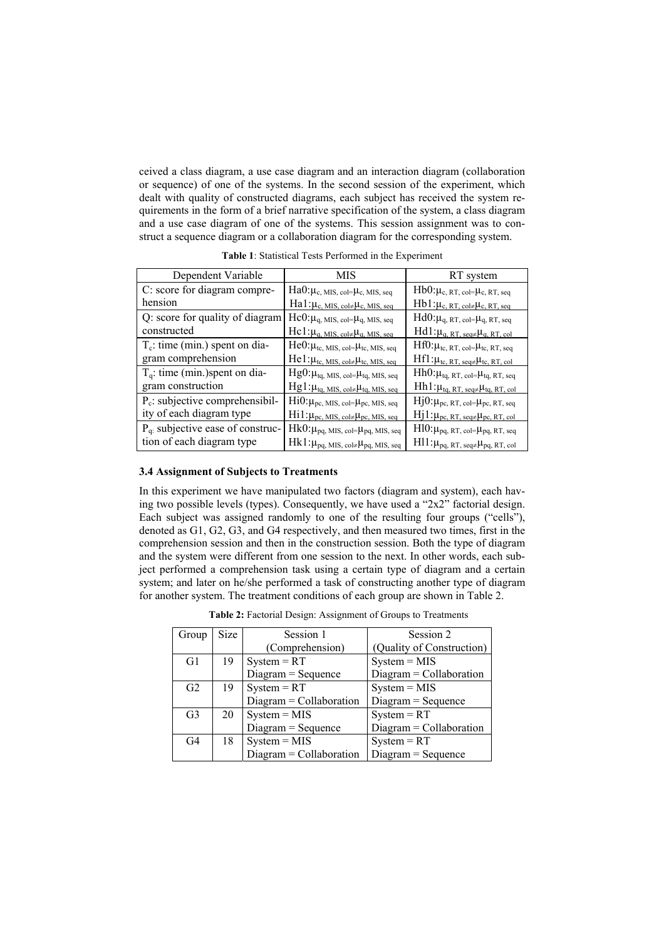ceived a class diagram, a use case diagram and an interaction diagram (collaboration or sequence) of one of the systems. In the second session of the experiment, which dealt with quality of constructed diagrams, each subject has received the system requirements in the form of a brief narrative specification of the system, a class diagram and a use case diagram of one of the systems. This session assignment was to construct a sequence diagram or a collaboration diagram for the corresponding system.

| Dependent Variable                  | MIS                                                                 | RT system                                                  |
|-------------------------------------|---------------------------------------------------------------------|------------------------------------------------------------|
| C: score for diagram compre-        | $Ha0:\mu_{c, MIS, col}=\mu_{c, MIS, seq}$                           | $Hb0:\mu_{c, RT, col}=\mu_{c, RT, seq}$                    |
| hension                             | $Ha1:\mu_{c, MIS, col}\neq \mu_{c, MIS, seq}$                       | $Hb1:\mu_{c, RT, col \neq} \mu_{c, RT, seq}$               |
| Q: score for quality of diagram     | $Hc0:\mu_{q, MIS, col}=\mu_{q, MIS, seq}$                           | $Hd0:\mu_{q, RT, col} = \mu_{q, RT, seq}$                  |
| constructed                         | $Hc1:\mu_{q, MIS, col \neq} \mu_{q, MIS, seq}$                      | $Hd1:\mu_{q, RT, seq \neq} \mu_{q, RT, col}$               |
| $T_c$ : time (min.) spent on dia-   | $He0: \mu_{tc, MIS, col} = \mu_{tc, MIS, seq}$                      | $Hf0:\mu_{tc, RT, col}=\mu_{tc, RT, seq}$                  |
| gram comprehension                  | $He1:\mu_{tc, MIS, col \neq} \mu_{tc, MIS, seq}$                    | $Hf1:\mu_{tc, RT, seq \neq} \mu_{tc, RT, col}$             |
| $T_q$ : time (min.) spent on dia-   | $Hg0:\mu_{tq, MIS, col}=\mu_{tq, MIS, seq}$                         | $Hh0:\mu_{tq, RT, col}=\mu_{tq, RT, seq}$                  |
| gram construction                   | $Hg1:\mu_{\text{tq, MIS, col}\neq}\mu_{\text{tq, MIS, seq}}$        | $Hh1:\mu_{\text{tq, RT, seq}\neq}\mu_{\text{tq, RT, col}}$ |
| $P_c$ : subjective comprehensibil-  | $Hi0:\mu_{pc, MIS, col}=\mu_{pc, MIS, seq}$                         | $Hj0:\mu_{pc, RT, col}=\mu_{pc, RT, seq}$                  |
| ity of each diagram type            | $\text{Hil}:\mu_{\text{pc, MIS, col}\neq}\mu_{\text{pc, MIS, seq}}$ | $Hj1:\mu_{pc, RT, seq \neq} \mu_{pc, RT, col}$             |
| $Pq$ : subjective ease of construc- | $Hk0:\mu_{pq, MIS, col}=\mu_{pq, MIS, seq}$                         | $H10:\mu_{pq, RT, col} = \mu_{pq, RT, seq}$                |
| tion of each diagram type           | $Hk1:\mu_{pq, MIS, col \neq} \mu_{pq, MIS, seq}$                    | $H11:\mu_{pq, RT, seq \neq} \mu_{pq, RT, col}$             |

**Table 1**: Statistical Tests Performed in the Experiment

#### **3.4 Assignment of Subjects to Treatments**

In this experiment we have manipulated two factors (diagram and system), each having two possible levels (types). Consequently, we have used a "2x2" factorial design. Each subject was assigned randomly to one of the resulting four groups ("cells"), denoted as G1, G2, G3, and G4 respectively, and then measured two times, first in the comprehension session and then in the construction session. Both the type of diagram and the system were different from one session to the next. In other words, each subject performed a comprehension task using a certain type of diagram and a certain system; and later on he/she performed a task of constructing another type of diagram for another system. The treatment conditions of each group are shown in Table 2.

| Group          | Size | Session 1                 | Session 2                 |
|----------------|------|---------------------------|---------------------------|
|                |      | (Comprehension)           | (Quality of Construction) |
| G1             | 19   | $System = RT$             | $System = MIS$            |
|                |      | $Diagram = Sequence$      | $Diagram = Collaboration$ |
| G <sub>2</sub> | 19   | $System = RT$             | $System = MIS$            |
|                |      | $Diagram = Collaboration$ | $Diagram = Sequence$      |
| G <sub>3</sub> | 20   | $System = MIS$            | $System = RT$             |
|                |      | $Diagram = Sequence$      | $Diagram = Collaboration$ |
| G <sub>4</sub> | 18   | $System = MIS$            | $System = RT$             |
|                |      | $Diagram = Collaboration$ | $Diagram = Sequence$      |

**Table 2:** Factorial Design: Assignment of Groups to Treatments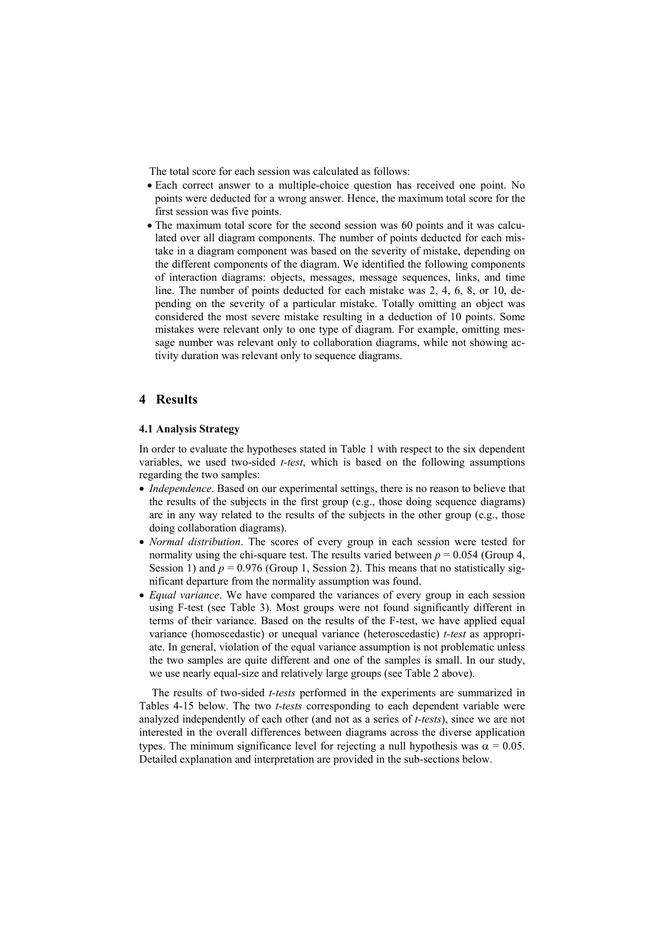The total score for each session was calculated as follows:

- Each correct answer to a multiple-choice question has received one point. No points were deducted for a wrong answer. Hence, the maximum total score for the first session was five points.
- The maximum total score for the second session was 60 points and it was calculated over all diagram components. The number of points deducted for each mistake in a diagram component was based on the severity of mistake, depending on the different components of the diagram. We identified the following components of interaction diagrams: objects, messages, message sequences, links, and time line. The number of points deducted for each mistake was 2, 4, 6, 8, or 10, depending on the severity of a particular mistake. Totally omitting an object was considered the most severe mistake resulting in a deduction of 10 points. Some mistakes were relevant only to one type of diagram. For example, omitting message number was relevant only to collaboration diagrams, while not showing activity duration was relevant only to sequence diagrams.

# **4 Results**

#### **4.1 Analysis Strategy**

In order to evaluate the hypotheses stated in Table 1 with respect to the six dependent variables, we used two-sided *t-test*, which is based on the following assumptions regarding the two samples:

- *Independence*. Based on our experimental settings, there is no reason to believe that the results of the subjects in the first group (e.g., those doing sequence diagrams) are in any way related to the results of the subjects in the other group (e.g., those doing collaboration diagrams).
- *Normal distribution*. The scores of every group in each session were tested for normality using the chi-square test. The results varied between  $p = 0.054$  (Group 4, Session 1) and  $p = 0.976$  (Group 1, Session 2). This means that no statistically significant departure from the normality assumption was found.
- *Equal variance*. We have compared the variances of every group in each session using F-test (see Table 3). Most groups were not found significantly different in terms of their variance. Based on the results of the F-test, we have applied equal variance (homoscedastic) or unequal variance (heteroscedastic) *t-test* as appropriate. In general, violation of the equal variance assumption is not problematic unless the two samples are quite different and one of the samples is small. In our study, we use nearly equal-size and relatively large groups (see Table 2 above).

The results of two-sided *t-tests* performed in the experiments are summarized in Tables 4-15 below. The two *t-tests* corresponding to each dependent variable were analyzed independently of each other (and not as a series of *t-tests*), since we are not interested in the overall differences between diagrams across the diverse application types. The minimum significance level for rejecting a null hypothesis was  $\alpha = 0.05$ . Detailed explanation and interpretation are provided in the sub-sections below.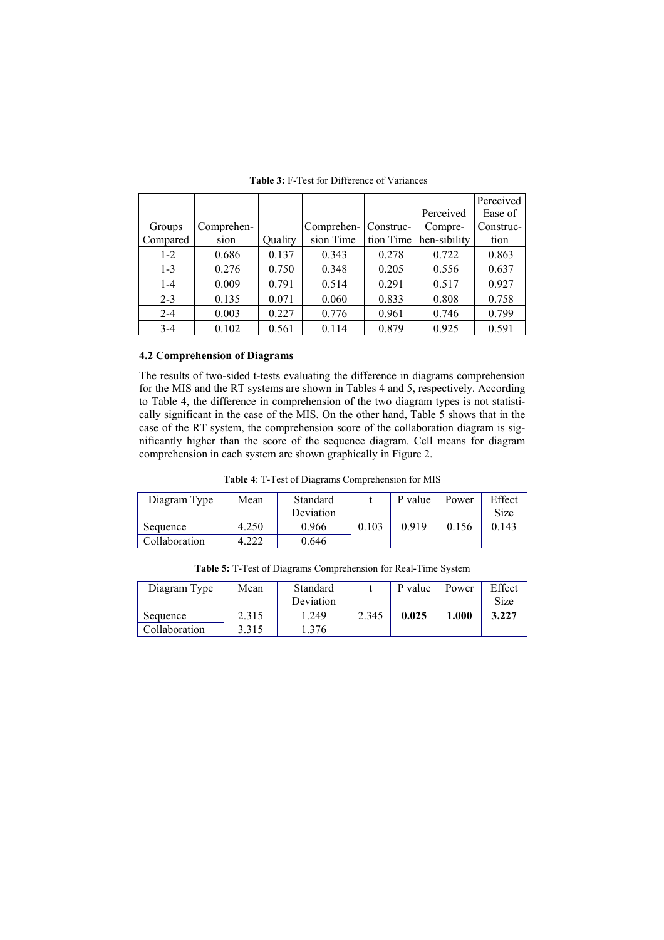|          |            |         |            |           |              | Perceived |
|----------|------------|---------|------------|-----------|--------------|-----------|
|          |            |         |            |           | Perceived    | Ease of   |
| Groups   | Comprehen- |         | Comprehen- | Construc- | Compre-      | Construc- |
| Compared | sion       | Quality | sion Time  | tion Time | hen-sibility | tion      |
| $1 - 2$  | 0.686      | 0.137   | 0.343      | 0.278     | 0.722        | 0.863     |
| $1 - 3$  | 0.276      | 0.750   | 0.348      | 0.205     | 0.556        | 0.637     |
| $1 - 4$  | 0.009      | 0.791   | 0.514      | 0.291     | 0.517        | 0.927     |
| $2 - 3$  | 0.135      | 0.071   | 0.060      | 0.833     | 0.808        | 0.758     |
| $2 - 4$  | 0.003      | 0.227   | 0.776      | 0.961     | 0.746        | 0.799     |
| $3 - 4$  | 0.102      | 0.561   | 0.114      | 0.879     | 0.925        | 0.591     |

**Table 3:** F-Test for Difference of Variances

#### **4.2 Comprehension of Diagrams**

The results of two-sided t-tests evaluating the difference in diagrams comprehension for the MIS and the RT systems are shown in Tables 4 and 5, respectively. According to Table 4, the difference in comprehension of the two diagram types is not statistically significant in the case of the MIS. On the other hand, Table 5 shows that in the case of the RT system, the comprehension score of the collaboration diagram is significantly higher than the score of the sequence diagram. Cell means for diagram comprehension in each system are shown graphically in Figure 2.

**Table 4**: T-Test of Diagrams Comprehension for MIS

| Diagram Type  | Mean  | Standard  |       | P value | Power | Effect |
|---------------|-------|-----------|-------|---------|-------|--------|
|               |       | Deviation |       |         |       | Size   |
| Sequence      | 4.250 | 0.966     | 0.103 | 0.919   | 0.156 | 0.143  |
| Collaboration | .222  | 0.646     |       |         |       |        |

**Table 5:** T-Test of Diagrams Comprehension for Real-Time System

| Diagram Type  | Mean  | Standard  |       | P value | Power | Effect |
|---------------|-------|-----------|-------|---------|-------|--------|
|               |       | Deviation |       |         |       | Size   |
| Sequence      | 2.315 | .249      | 2.345 | 0.025   | 1.000 | 3.227  |
| Collaboration | 3.315 | 376       |       |         |       |        |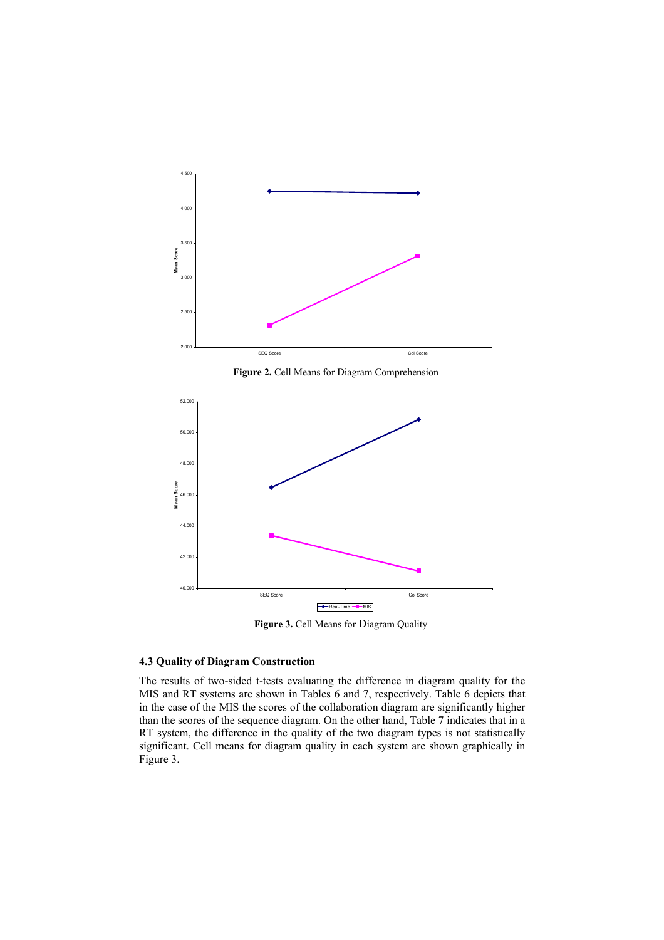

Figure 2. Cell Means for Diagram Comprehension



**Figure 3.** Cell Means for Diagram Quality

# **4.3 Quality of Diagram Construction**

The results of two-sided t-tests evaluating the difference in diagram quality for the MIS and RT systems are shown in Tables 6 and 7, respectively. Table 6 depicts that in the case of the MIS the scores of the collaboration diagram are significantly higher than the scores of the sequence diagram. On the other hand, Table 7 indicates that in a RT system, the difference in the quality of the two diagram types is not statistically significant. Cell means for diagram quality in each system are shown graphically in Figure 3.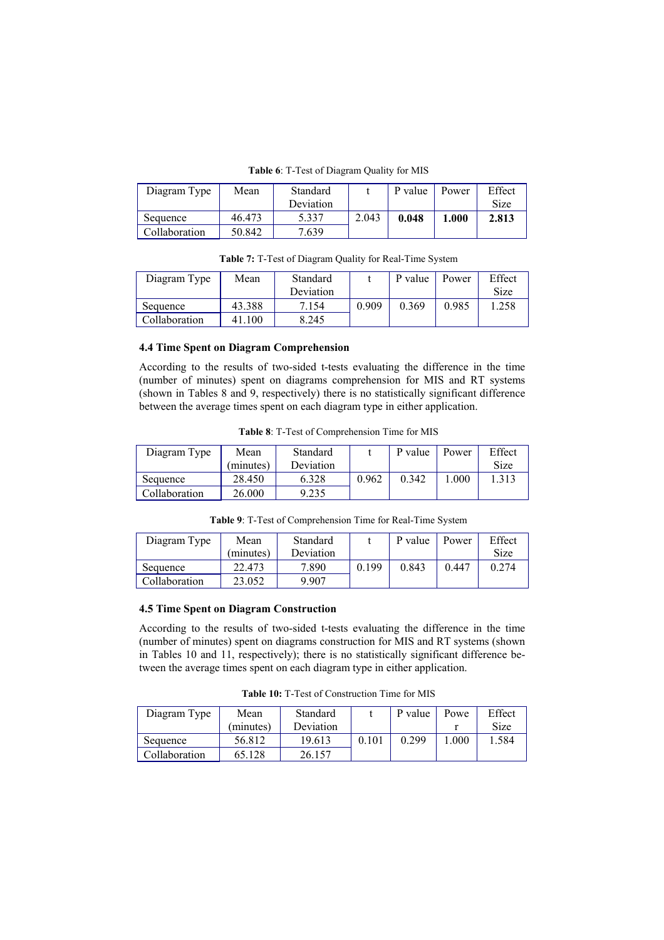**Table 6**: T-Test of Diagram Quality for MIS

| Diagram Type  | Mean   | Standard  |       | P value | Power | Effect |
|---------------|--------|-----------|-------|---------|-------|--------|
|               |        | Deviation |       |         |       | Size   |
| Sequence      | 46.473 | 5.337     | 2.043 | 0.048   | 1.000 | 2.813  |
| Collaboration | 50.842 | 7.639     |       |         |       |        |

| Diagram Type  | Mean   | Standard  |       | P value | Power | Effect |
|---------------|--------|-----------|-------|---------|-------|--------|
|               |        | Deviation |       |         |       | Size   |
| Sequence      | 43.388 | 7.154     | 0.909 | 0.369   | 0.985 | .258   |
| Collaboration | 41.100 | 8.245     |       |         |       |        |

**Table 7:** T-Test of Diagram Quality for Real-Time System

### **4.4 Time Spent on Diagram Comprehension**

According to the results of two-sided t-tests evaluating the difference in the time (number of minutes) spent on diagrams comprehension for MIS and RT systems (shown in Tables 8 and 9, respectively) there is no statistically significant difference between the average times spent on each diagram type in either application.

**Table 8**: T-Test of Comprehension Time for MIS

| Diagram Type  | Mean      | Standard  |       | P value | Power | Effect |
|---------------|-----------|-----------|-------|---------|-------|--------|
|               | (minutes) | Deviation |       |         |       | Size   |
| Sequence      | 28.450    | 6.328     | 0.962 | 0.342   | 000   | .313   |
| Collaboration | 26.000    | 9.235     |       |         |       |        |

**Table 9**: T-Test of Comprehension Time for Real-Time System

| Diagram Type  | Mean      | Standard  |       | P value | Power | Effect |
|---------------|-----------|-----------|-------|---------|-------|--------|
|               | (minutes) | Deviation |       |         |       | Size   |
| Sequence      | 22.473    | 7.890     | 0.199 | 0.843   | 0.447 | 0.274  |
| Collaboration | 23.052    | 9.907     |       |         |       |        |

# **4.5 Time Spent on Diagram Construction**

According to the results of two-sided t-tests evaluating the difference in the time (number of minutes) spent on diagrams construction for MIS and RT systems (shown in Tables 10 and 11, respectively); there is no statistically significant difference between the average times spent on each diagram type in either application.

**Table 10:** T-Test of Construction Time for MIS

| Diagram Type  | Mean      | Standard  |       | P value | Powe | Effect |
|---------------|-----------|-----------|-------|---------|------|--------|
|               | (minutes) | Deviation |       |         |      | Size   |
| Sequence      | 56.812    | 19.613    | 0.101 | 0.299   | .000 | 1.584  |
| Collaboration | 65.128    | 26.157    |       |         |      |        |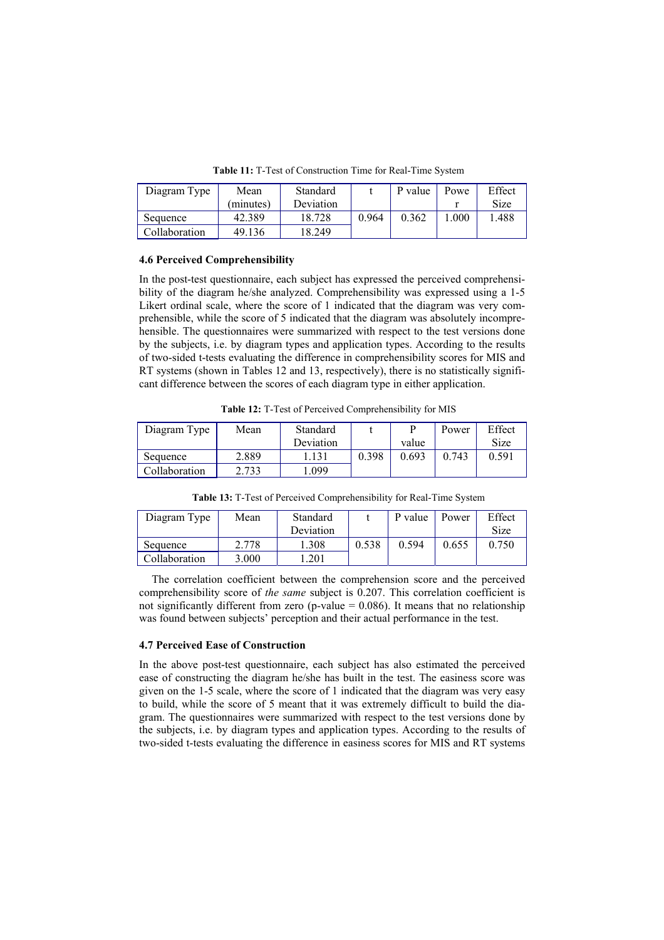| Diagram Type  | Mean      | Standard  |       | P value | Powe | Effect |
|---------------|-----------|-----------|-------|---------|------|--------|
|               | (minutes) | Deviation |       |         |      | Size   |
| Sequence      | 42.389    | 18.728    | 0.964 | 0.362   | .000 | .488   |
| Collaboration | 49.136    | 18.249    |       |         |      |        |

**Table 11:** T-Test of Construction Time for Real-Time System

#### **4.6 Perceived Comprehensibility**

In the post-test questionnaire, each subject has expressed the perceived comprehensibility of the diagram he/she analyzed. Comprehensibility was expressed using a 1-5 Likert ordinal scale, where the score of 1 indicated that the diagram was very comprehensible, while the score of 5 indicated that the diagram was absolutely incomprehensible. The questionnaires were summarized with respect to the test versions done by the subjects, i.e. by diagram types and application types. According to the results of two-sided t-tests evaluating the difference in comprehensibility scores for MIS and RT systems (shown in Tables 12 and 13, respectively), there is no statistically significant difference between the scores of each diagram type in either application.

**Table 12:** T-Test of Perceived Comprehensibility for MIS

| Diagram Type  | Mean  | Standard  |       |       | Power | Effect |
|---------------|-------|-----------|-------|-------|-------|--------|
|               |       | Deviation |       | value |       | Size   |
| Sequence      | 2.889 | 131       | 0.398 | 0.693 | 0.743 | 0.591  |
| Collaboration | 2.733 | .099      |       |       |       |        |

**Table 13:** T-Test of Perceived Comprehensibility for Real-Time System

| Diagram Type  | Mean  | Standard  |       | P value | Power | Effect |
|---------------|-------|-----------|-------|---------|-------|--------|
|               |       | Deviation |       |         |       | Size   |
| Sequence      | 2.778 | .308      | 0.538 | 0.594   | 0.655 | 0.750  |
| Collaboration | 3.000 | .201      |       |         |       |        |

The correlation coefficient between the comprehension score and the perceived comprehensibility score of *the same* subject is 0.207. This correlation coefficient is not significantly different from zero (p-value  $= 0.086$ ). It means that no relationship was found between subjects' perception and their actual performance in the test.

#### **4.7 Perceived Ease of Construction**

In the above post-test questionnaire, each subject has also estimated the perceived ease of constructing the diagram he/she has built in the test. The easiness score was given on the 1-5 scale, where the score of 1 indicated that the diagram was very easy to build, while the score of 5 meant that it was extremely difficult to build the diagram. The questionnaires were summarized with respect to the test versions done by the subjects, i.e. by diagram types and application types. According to the results of two-sided t-tests evaluating the difference in easiness scores for MIS and RT systems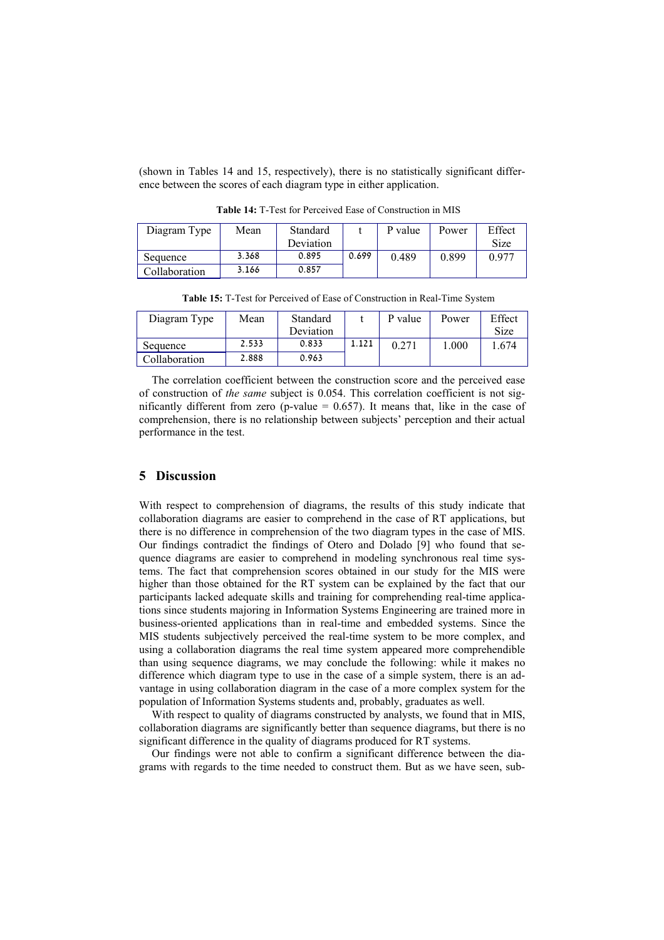(shown in Tables 14 and 15, respectively), there is no statistically significant difference between the scores of each diagram type in either application.

| Diagram Type  | Mean  | Standard  |       | P value | Power | Effect |
|---------------|-------|-----------|-------|---------|-------|--------|
|               |       | Deviation |       |         |       | Size   |
| Sequence      | 3.368 | 0.895     | 0.699 | 0.489   | 0.899 | 0.977  |
| Collaboration | 3.166 | 0.857     |       |         |       |        |

**Table 14:** T-Test for Perceived Ease of Construction in MIS

| Diagram Type  | Mean  | Standard  |       | P value | Power | Effect |
|---------------|-------|-----------|-------|---------|-------|--------|
|               |       | Deviation |       |         |       | Size   |
| Sequence      | 2.533 | 0.833     | 1.121 | 0.271   | 1.000 | .674   |
| Collaboration | 2.888 | 0.963     |       |         |       |        |

**Table 15:** T-Test for Perceived of Ease of Construction in Real-Time System

The correlation coefficient between the construction score and the perceived ease of construction of *the same* subject is 0.054. This correlation coefficient is not significantly different from zero (p-value  $= 0.657$ ). It means that, like in the case of comprehension, there is no relationship between subjects' perception and their actual performance in the test.

# **5 Discussion**

With respect to comprehension of diagrams, the results of this study indicate that collaboration diagrams are easier to comprehend in the case of RT applications, but there is no difference in comprehension of the two diagram types in the case of MIS. Our findings contradict the findings of Otero and Dolado [9] who found that sequence diagrams are easier to comprehend in modeling synchronous real time systems. The fact that comprehension scores obtained in our study for the MIS were higher than those obtained for the RT system can be explained by the fact that our participants lacked adequate skills and training for comprehending real-time applications since students majoring in Information Systems Engineering are trained more in business-oriented applications than in real-time and embedded systems. Since the MIS students subjectively perceived the real-time system to be more complex, and using a collaboration diagrams the real time system appeared more comprehendible than using sequence diagrams, we may conclude the following: while it makes no difference which diagram type to use in the case of a simple system, there is an advantage in using collaboration diagram in the case of a more complex system for the population of Information Systems students and, probably, graduates as well.

With respect to quality of diagrams constructed by analysts, we found that in MIS, collaboration diagrams are significantly better than sequence diagrams, but there is no significant difference in the quality of diagrams produced for RT systems.

Our findings were not able to confirm a significant difference between the diagrams with regards to the time needed to construct them. But as we have seen, sub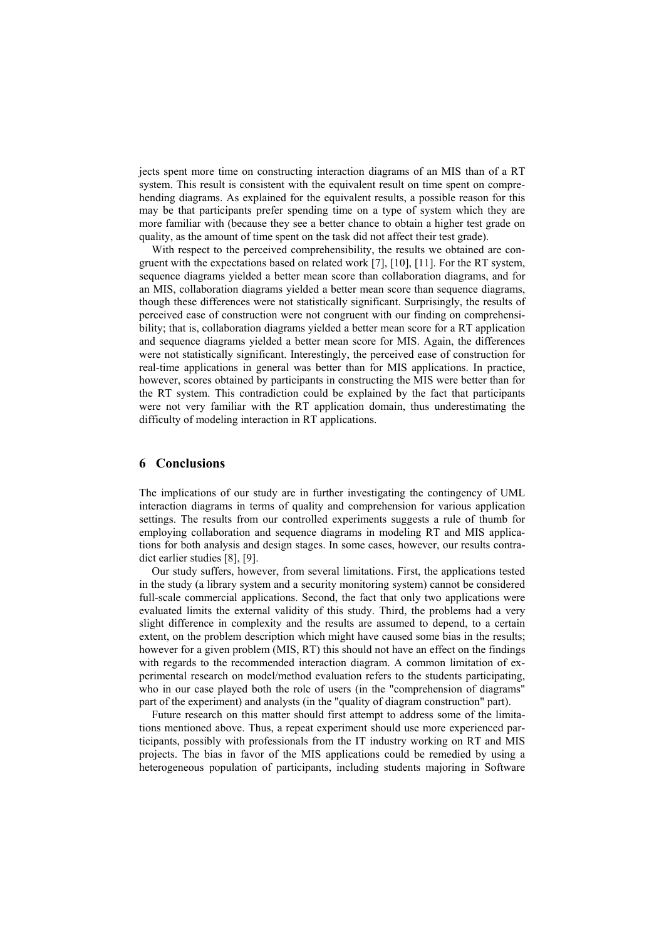jects spent more time on constructing interaction diagrams of an MIS than of a RT system. This result is consistent with the equivalent result on time spent on comprehending diagrams. As explained for the equivalent results, a possible reason for this may be that participants prefer spending time on a type of system which they are more familiar with (because they see a better chance to obtain a higher test grade on quality, as the amount of time spent on the task did not affect their test grade).

With respect to the perceived comprehensibility, the results we obtained are congruent with the expectations based on related work [7], [10], [11]. For the RT system, sequence diagrams yielded a better mean score than collaboration diagrams, and for an MIS, collaboration diagrams yielded a better mean score than sequence diagrams, though these differences were not statistically significant. Surprisingly, the results of perceived ease of construction were not congruent with our finding on comprehensibility; that is, collaboration diagrams yielded a better mean score for a RT application and sequence diagrams yielded a better mean score for MIS. Again, the differences were not statistically significant. Interestingly, the perceived ease of construction for real-time applications in general was better than for MIS applications. In practice, however, scores obtained by participants in constructing the MIS were better than for the RT system. This contradiction could be explained by the fact that participants were not very familiar with the RT application domain, thus underestimating the difficulty of modeling interaction in RT applications.

## **6 Conclusions**

The implications of our study are in further investigating the contingency of UML interaction diagrams in terms of quality and comprehension for various application settings. The results from our controlled experiments suggests a rule of thumb for employing collaboration and sequence diagrams in modeling RT and MIS applications for both analysis and design stages. In some cases, however, our results contradict earlier studies [8], [9].

Our study suffers, however, from several limitations. First, the applications tested in the study (a library system and a security monitoring system) cannot be considered full-scale commercial applications. Second, the fact that only two applications were evaluated limits the external validity of this study. Third, the problems had a very slight difference in complexity and the results are assumed to depend, to a certain extent, on the problem description which might have caused some bias in the results; however for a given problem (MIS, RT) this should not have an effect on the findings with regards to the recommended interaction diagram. A common limitation of experimental research on model/method evaluation refers to the students participating, who in our case played both the role of users (in the "comprehension of diagrams" part of the experiment) and analysts (in the "quality of diagram construction" part).

Future research on this matter should first attempt to address some of the limitations mentioned above. Thus, a repeat experiment should use more experienced participants, possibly with professionals from the IT industry working on RT and MIS projects. The bias in favor of the MIS applications could be remedied by using a heterogeneous population of participants, including students majoring in Software